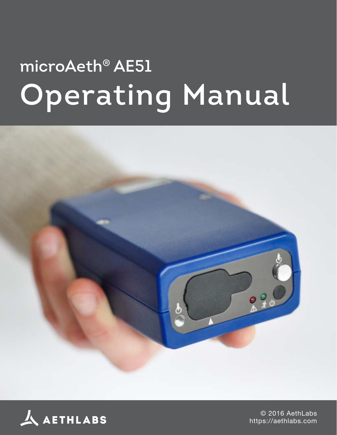## **microAeth® AE51 Operating Manual**





© 2016 AethLabs https://aethlabs.com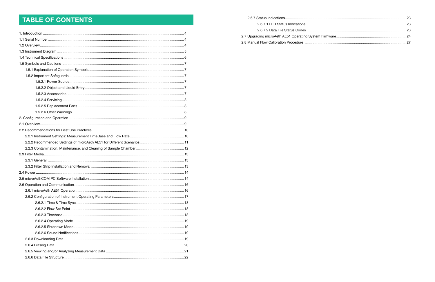## TABLE OF CONTENTS

2.6.7.1 LED Status Indications.............. 2.6.7.2 Data File Status Codes .............. 2.7 Upgrading microAeth AE51 Operating System 2.8 Manual Flow Calibration Procedure ................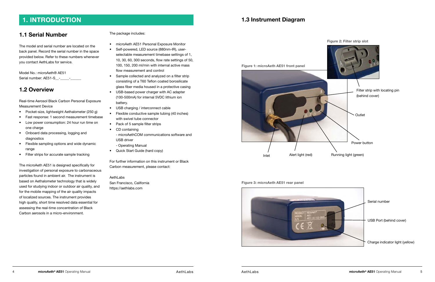## **1.1 Serial Number**

The model and serial number are located on the back panel. Record the serial number in the space provided below. Refer to these numbers whenever you contact AethLabs for service.

Model No.: microAeth® AE51 Serial number: AE51-S\_\_-\_\_\_\_\_-\_\_\_\_\_\_

## **1.2 Overview**

Real-time Aerosol Black Carbon Personal Exposure Measurement Device

- Pocket-size, lightweight Aethalometer (250 g)
- Fast response: 1 second measurement timebase
- Low power consumption: 24 hour run time on one charge
- Onboard data processing, logging and diagnostics
- Flexible sampling options and wide dynamic range
- Filter strips for accurate sample tracking

The microAeth AE51 is designed specifically for investigation of personal exposure to carbonaceous particles found in ambient air. The instrument is based on Aethalometer technology that is widely used for studying indoor or outdoor air quality, and for the mobile mapping of the air quality impacts of localized sources. The instrument provides high quality, short time resolved data essential for assessing the real-time concentration of Black Carbon aerosols in a micro-environment.

The package includes:

- microAeth AE51 Personal Exposure Monitor
- Self-powered, LED source (880nm-IR), userselectable measurement timebase settings of 1, 10, 30, 60, 300 seconds, flow rate settings of 50, 100, 150, 200 ml/min with internal active mass flow measurement and control
- Sample collected and analyzed on a filter strip consisting of a T60 Teflon coated borosilicate glass fiber media housed in a protective casing
- USB-based power charger with AC adapter (100-500mA) for internal 5VDC lithium ion battery.
- USB charging / interconnect cable
- Flexible conductive sample tubing (40 inches) with swivel tube connector
- Pack of 5 sample filter strips
- CD containing - microAethCOM communications software and USB driver - Operating Manual
- Quick Start Guide (hard copy)

For further information on this instrument or Black Carbon measurement, please contact:

AethLabs San Francisco, California https:/[/aethlabs.com](www.aethlabs.com)

## <span id="page-2-0"></span>**1. INTRODUCTION 1.3 Instrument Diagram**



# Power button **Outlet** Filter strip with locating pin (behind cover)

**Figure 1: microAeth AE51 front panel**

**Figure 2: Filter strip slot**

#### **Figure 3: microAeth AE51 rear panel**

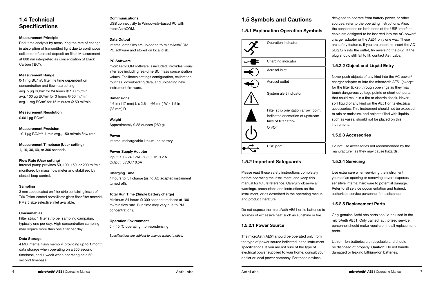## <span id="page-3-0"></span>**1.4 Technical Specifications**

#### **Measurement Principle**

Real-time analysis by measuring the rate of change in absorption of transmitted light due to continuous collection of aerosol deposit on filter. Measurement at 880 nm interpreted as concentration of Black Carbon ('BC').

**Measurement Precision**  $\pm$ 0.1 µg BC/m<sup>3</sup>, 1 min avg., 150 ml/min flow rate

#### **Measurement Range**

0-1 mg BC/m<sup>3</sup>, filter life time dependent on concentration and flow rate setting: avg. 5  $\mu$ g BC/m<sup>3</sup> for 24 hours @ 100 ml/min avg. 100 µg BC/ $m<sup>3</sup>$  for 3 hours @ 50 ml/min avg. 1 mg BC/m<sup>3</sup> for 15 minutes @ 50 ml/min

**Measurement Resolution**

0.001 µg BC/m<sup>3</sup>

**Measurement Timebase (User setting)** 1, 10, 30, 60, or 300 seconds

#### **Flow Rate (User setting)**

Internal pump provides 50, 100, 150, or 200 ml/min, monitored by mass flow meter and stabilized by closed-loop control.

#### **Sampling**

3 mm spot created on filter strip containing insert of T60 Teflon-coated borosilicate glass fiber filter material. PM2.5 size selective inlet available.

#### **Consumables**

Filter strip: 1 filter strip per sampling campaign, typically one per day. High concentration sampling may require more than one filter per day.

#### **Data Storage**

4 MB internal flash memory, providing up to 1 month data storage when operating on a 300 second timebase, and 1 week when operating on a 60 second timebase.

#### **Communications**

USB connectivity to Windows®-based PC with microAethCOM.

#### **Data Output**

Internal data files are uploaded to microAethCOM PC software and stored on local disk.

#### **PC Software**

microAethCOM software is included. Provides visual interface including real-time BC mass concentration values. Facilitates settings configuration, calibration routines, downloading data, and uploading new instrument firmware.

#### **Dimensions**

4.6 in (117 mm) L x 2.6 in (66 mm) W x 1.5 in (38 mm) D

#### **Weight**

Approximately 9.88 ounces (280 g).

#### **Power**

Internal rechargeable lithium-ion battery.

#### **Power Supply Adapter**

Input: 100~240 VAC 50/60 Hz 0.2 A Output: 5VDC / 0.5A

#### **Charging Time**

4 hours to full charge (using AC adapter, instrument turned off).

#### **Total Run Time (Single battery charge)**

Minimum 24 hours @ 300 second timebase at 100 ml/min flow rate. Run time may vary due to PM concentrations.

#### **Operation Environment**

 $0 \sim 40$  °C operating, non-condensing.

*Specifications are subject to change without notice.*

## **1.5 Symbols and Cautions**

#### **1.5.1 Explanation Operation Symbols**

| Operation indicator                                                                                 |
|-----------------------------------------------------------------------------------------------------|
| Charging indicator                                                                                  |
| Aerosol inlet                                                                                       |
| Aerosol outlet                                                                                      |
| System alert indicator                                                                              |
| Filter strip orientation arrow (point<br>indicates orientation of upstream<br>face of filter strip) |
| On/Off                                                                                              |
| USB port                                                                                            |

#### **1.5.2 Important Safeguards**

Please read these safety instructions completely before operating the instrument, and keep this manual for future reference. Carefully observe all warnings, precautions and instructions on the instrument, or as described in the operating manual and product literature.

Do not expose the microAeth AE51 or its batteries to sources of excessive heat such as sunshine or fire.

#### **1.5.2.1 Power Source**

designed to operate from battery power, or other sources, refer to the operating instructions. Also, the connections on both ends of the USB interface cable are designed to be inserted into the AC power/ charger adapter or the AE51 only one way. These are safety features. If you are unable to insert the AC plug fully into the outlet, try reversing the plug. If the plug should still fail to fit, contact AethLabs.

#### **1.5.2.2 Object and Liquid Entry**

The microAeth AE51 should be operated only from the type of power source indicated in the instrument specifications. If you are not sure of the type of electrical power supplied to your home, consult your dealer or local power company. For those devices Lithium-Ion batteries are recyclable and should be disposed of properly. **Caution:** Do not handle damaged or leaking Lithium-Ion batteries.

Never push objects of any kind into the AC power/ charger adapter or into the microAeth AE51 (except for the filter ticket) through openings as they may touch dangerous voltage points or short out parts that could result in a fire or electric shock. Never spill liquid of any kind on the AE51 or its electrical accessories. This instrument should not be exposed to rain or moisture, and objects filled with liquids, such as vases, should not be placed on this instrument.

#### **1.5.2.3 Accessories**

Do not use accessories not recommended by the manufacturer, as they may cause hazards.

#### **1.5.2.4 Servicing**

Use extra care when servicing the instrument yourself as opening or removing covers exposes sensitive internal hardware to potential damage. Refer to all service documentation and trained, authorized service personnel for assistance.

#### **1.5.2.5 Replacement Parts**

Only genuine AethLabs parts should be used in the microAeth AE51. Only trained, authorized service personnel should make repairs or install replacement parts.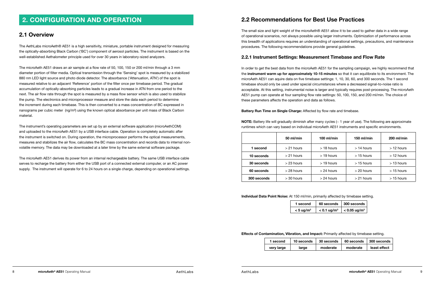## <span id="page-4-0"></span>**2. CONFIGURATION AND OPERATION**

## **2.1 Overview**

The AethLabs microAeth® AE51 is a high sensitivity, miniature, portable instrument designed for measuring the optically-absorbing Black Carbon ('BC') component of aerosol particles. The instrument is based on the well-established Aethalometer principle used for over 30 years in laboratory-sized analyzers.

The microAeth AE51 draws an air sample at a flow rate of 50, 100, 150 or 200 ml/min through a 3 mm diameter portion of filter media. Optical transmission through the 'Sensing' spot is measured by a stabilized 880 nm LED light source and photo diode detector. The absorbance ('Attenuation, ATN') of the spot is measured relative to an adjacent 'Reference' portion of the filter once per timebase period. The gradual accumulation of optically-absorbing particles leads to a gradual increase in ATN from one period to the next. The air flow rate through the spot is measured by a mass flow sensor which is also used to stabilize the pump. The electronics and microprocessor measure and store the data each period to determine the increment during each timebase. This is then converted to a mass concentration of BC expressed in nanograms per cubic meter (ng/m<sup>3</sup>) using the known optical absorbance per unit mass of Black Carbon material.

The instrument's operating parameters are set up by an external software application (microAethCOM) and uploaded to the microAeth AE51 by a USB interface cable. Operation is completely automatic after the instrument is switched on. During operation, the microprocessor performs the optical measurements, measures and stabilizes the air flow, calculates the BC mass concentration and records data to internal nonvolatile memory. The data may be downloaded at a later time by the same external software package.

In order to get the best data from the microAeth AE51 for the sampling campaign, we highly recommend that the **instrument warm up for approximately 10-15 minutes** so that it can equilibrate to its environment. The microAeth AE51 can aquire data on five timebase settings: 1, 10, 30, 60, and 300 seconds. The 1 second timebase should only be used under special circumstances where a decreased signal-to-noise ratio is acceptable. At this setting, instrumental noise is larger and typically requires post-processing. The microAeth AE51 pump can operate at four sampling flow rate settings: 50, 100, 150, and 200 ml/min. The choice of these parameters affects the operation and data as follows.

**NOTE:** Battery life will gradually diminish after many cycles ( $\sim$  1 year of use). The following are approximate runtimes which can vary based on individual microAeth AE51 instruments and specific environments.

The microAeth AE51 derives its power from an internal rechargeable battery. The same USB interface cable serves to recharge the battery from either the USB port of a connected external computer, or an AC power supply. The instrument will operate for 6 to 24 hours on a single charge, depending on operational settings.

## **2.2 Recommendations for Best Use Practices**

The small size and light weight of the microAeth® AE51 allow it to be used to gather data in a wide range of operational scenarios, not always possible using larger instruments. Optimization of performance across this breadth of applications requires an understanding of operational settings, precautions, and maintenance procedures. The following recommendations provide general guidelines.

### **2.2.1 Instrument Settings: Measurement Timebase and Flow Rate**

#### **Battery Run Time on Single Charge:** Affected by flow rate and timebase.

|             | 50 ml/min    | $100$ ml/min | $150$ ml/min | $200$ ml/min |
|-------------|--------------|--------------|--------------|--------------|
| 1 second    | $>21$ hours  | $>$ 18 hours | $>$ 14 hours | $>12$ hours  |
| 10 seconds  | $> 21$ hours | $>$ 19 hours | $>$ 15 hours | $>12$ hours  |
| 30 seconds  | $>$ 23 hours | $>$ 19 hours | $>$ 15 hours | $>$ 13 hours |
| 60 seconds  | $>$ 28 hours | $>$ 24 hours | $>$ 20 hours | $>$ 15 hours |
| 300 seconds | $>$ 30 hours | $> 24$ hours | $> 21$ hours | $>$ 15 hours |

**Individual Data Point Noise:** At 150 ml/min, primarily affected by timebase setting.

| 1 second                         | 60 seconds                | $\vert$ 300 seconds $\vert$ |
|----------------------------------|---------------------------|-----------------------------|
| $< 5 \text{ u}$ g/m <sup>3</sup> | $< 0.1$ ug/m <sup>3</sup> | $\epsilon$ < 0.05 ug/m $^3$ |

#### **Effects of Contamination, Vibration, and Impact:** Primarily affected by timebase setting.

| 1 second   | 10 seconds | 30 seconds | 60 seconds | 300 seconds  |
|------------|------------|------------|------------|--------------|
| very large | large      | moderate   | moderate   | least effect |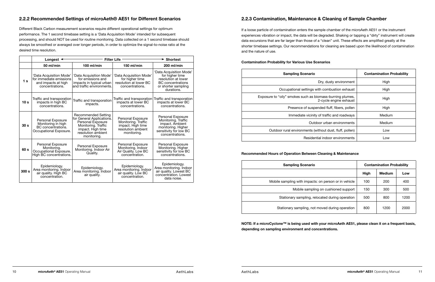#### <span id="page-5-0"></span>**2.2.2 Recommended Settings of microAeth® AE51 for Different Scenarios**

Different Black Carbon measurement scenarios require different operational settings for optimum performance. The 1 second timebase setting is a 'Data Acquisition Mode' intended for subsequent processing, and should NOT be used for routine monitoring. Data collected on a 1 second timebase should always be smoothed or averaged over longer periods, in order to optimize the signal-to-noise ratio at the desired time resolution.

|                  | Longest $\triangleleft$                                                                      |                                                                                                                                                        | <b>Filter Life</b>                                                                                 | <b>► Shortest</b>                                                                                                                  |
|------------------|----------------------------------------------------------------------------------------------|--------------------------------------------------------------------------------------------------------------------------------------------------------|----------------------------------------------------------------------------------------------------|------------------------------------------------------------------------------------------------------------------------------------|
|                  | 50 ml/min                                                                                    | 100 ml/min                                                                                                                                             | 150 ml/min                                                                                         | 200 ml/min                                                                                                                         |
| 1 <sub>s</sub>   | 'Data Acquisition Mode'<br>for immediate emissions<br>and impacts at high<br>concentrations. | 'Data Acquisition Mode'<br>for emissions and<br>impacts in typical urban<br>and traffic environments.                                                  | 'Data Acquisition Mode'<br>for higher time<br>resolution at lower BC<br>concentrations.            | 'Data Acquisition Mode'<br>for higher time<br>resolution at lower<br><b>BC</b> concentrations<br>or shorter sampling<br>durations. |
| 10 <sub>s</sub>  | Traffic and transporation<br>impacts in high BC<br>concentrations.                           | Traffic and transporation<br>impacts.                                                                                                                  | Traffic and transporation<br>impacts at lower BC<br>concentrations.                                | Traffic and transporation<br>impacts at lower BC<br>concentrations.                                                                |
| 30 <sub>s</sub>  | Personal Exposure<br>Monitoring in high<br>BC concentrations.<br>Occupational Exposure.      | Recommended Setting<br>for General Applications.<br>Personal Exposure<br>Monitoring. Traffic<br>impact. High time<br>resolution ambient<br>monitoring. | Personal Exposure<br>Monitoring. Traffic<br>impact. High time<br>resolution ambient<br>monitoring. | Personal Exposure<br>Monitoring. Traffic<br>impact. Ambient<br>monitoring. Higher<br>sensitivity for low BC<br>concentrations.     |
| 60 s             | Personal Exposure<br>Monitoring.<br>Occupational Exposure.<br>High BC concentrations.        | Personal Exposure<br>Monitoring. Indoor Air<br>Quality.                                                                                                | <b>Personal Exposure</b><br>Monitoring. Indoor<br>Air Quality. Low BC<br>concentration.            | <b>Personal Exposure</b><br>Monitoring. Higher<br>sensitivity for low BC<br>concentrations.                                        |
| 300 <sub>s</sub> | Epidemiology.<br>Area monitoring. Indoor<br>air quality. High BC<br>concentration.           | Epidemiology.<br>Area monitoring. Indoor<br>air quality.                                                                                               | Epidemiology.<br>Area monitoring. Indoor<br>air quality. Low BC<br>concentration.                  | Epidemiology.<br>Area monitoring. Indoor<br>air quality. Lowest BC<br>concentration. Lowest<br>data noise.                         |

## **2.2.3 Contamination, Maintenance & Cleaning of Sample Chamber**

If a loose particle of contamination enters the sample chamber of the microAeth AE51 or the instrument experiences vibration or impact, the data will be degraded. Shaking or tapping a "dirty" instrument will create data excursions that are far larger than those of a "clean" unit. These effects are amplified greatly at the shorter timebase settings. Our recommendations for cleaning are based upon the likelihood of contamination and the nature of use.

#### **Contamination Probability for Various Use Scenarios**

#### **Recommended Hours of Operation Between Cleaning & Maintenance**

**NOTE: If a microCyclone™ is being used with your microAeth AE51, please clean it on a frequent basis, depending on sampling environment and concentrations.**

| <b>Sampling Scenario</b>                                                            | <b>Contamination Probability</b> |
|-------------------------------------------------------------------------------------|----------------------------------|
| Dry, dusty environment                                                              | High                             |
| Occupational settings with combustion exhaust                                       | High                             |
| Exposure to "oily" smokes such as biomass-burning plumes,<br>2-cycle engine exhaust | High                             |
| Presence of suspended fluff, fibers, pollen                                         | High                             |
| Immediate vicinity of traffic and roadways                                          | Medium                           |
| Outdoor urban environments                                                          | Medium                           |
| Outdoor rural environments (without dust, fluff, pollen)                            | Low                              |
| Residential indoor environments                                                     | Low                              |
|                                                                                     |                                  |

| <b>Sampling Scenario</b>                              |      | <b>Contamination Probability</b> |      |
|-------------------------------------------------------|------|----------------------------------|------|
|                                                       | High | <b>Medium</b>                    | Low  |
| Mobile sampling with impacts: on person or in vehicle | 100  | 200                              | 400  |
| Mobile sampling on cushioned support                  | 150  | 300                              | 500  |
| Stationary sampling, relocated during operation       | 500  | 800                              | 1200 |
| Stationary sampling, not moved during operation       | 800  | 1200                             | 2000 |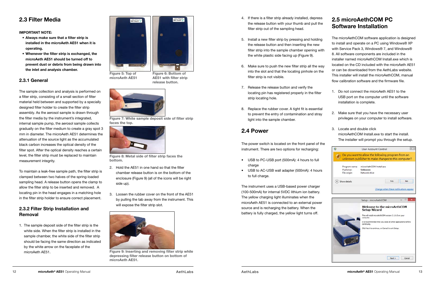## <span id="page-6-0"></span>**2.3 Filter Media**

**IMPORTANT NOTE:**

- **• Always make sure that a filter strip is installed in the microAeth AE51 when it is operating.**
- **• Whenever the filter strip is exchanged, the microAeth AE51 should be turned off to prevent dust or debris from being drawn into the inlet and analysis chamber.**

#### **2.3.1 General**

The sample collection and analysis is performed on a filter strip, consisting of a small section of filter material held between and supported by a specially designed filter holder to create the filter strip assembly. As the aerosol sample is drawn through the filter media by the instrument's integrated, internal sample pump, the aerosol sample collects gradually on the filter medium to create a gray spot 3 mm in diameter. The microAeth AE51 determines the attenuation of the source light as the accumulated black carbon increases the optical density of the filter spot. After the optical density reaches a certain level, the filter strip must be replaced to maintain measurement integrity.

To maintain a leak-free sample path, the filter strip is clamped between two halves of the spring-loaded sampling head. A release button opens the clamp to allow the filter strip to be inserted and removed. A locating pin in the head engages in a matching hole in the filter strip holder to ensure correct placement.

#### **2.3.2 Filter Strip Installation and Removal**

1. The sample deposit side of the filter strip is the white side. When the filter strip is installed in the sample chamber, the white side of the filter strip should be facing the same direction as indicated by the white arrow on the faceplate of the microAeth AE51.

- 2. Hold the AE51 in one hand so that the filter chamber release button is on the bottom of the enclosure (Figure 9) (all of the icons will be right side up).
- 3. Loosen the rubber cover on the front of the AE51 by pulling the tab away from the instrument. This will expose the filter strip slot.

**microAeth AE51**



**AE51 with filter strip release button.**







**Figure 8: Metal side of filter strip faces the bottom.**



**Figure 9: Inserting and removing filter strip while depressing filter release button on bottom of microAeth AE51.**

## **2.4 Power**

The power switch is located on the front panel of the instrument. There are two options for recharging:

- USB to PC-USB port (500mA): 4 hours to full charge
- USB to AC-USB wall adapter (500mA): 4 hours to full charge.
- 4. If there is a filter strip already installed, depress the release button with your thumb and pull the filter strip out of the sampling head.
- 5. Install a new filter strip by pressing and holding the release button and then inserting the new filter strip into the sample chamber opening with the white plastic side facing up (Figure 9). 6. Make sure to push the new filter strip all the way into the slot and that the locating pinhole on the filter strip is not visible. The microAethCOM software application is designed to install and operate on a PC using Windows® XP with Service Pack 3, Windows® 7, and Windows® 8. All software components are included in the installer named microAethCOM Install.exe which is located on the CD included with the microAeth AE51 or can be downloaded from the AethLabs website. This installer will install the microAethCOM, manual flow calibration software and the firmware file.
- 
- 7. Release the release button and verify the locating pin has registered properly in the filter strip locating hole. 1. Do not connect the microAeth AE51 to the USB port on the computer until the software installation is complete.
- 8. Replace the rubber cover. A tight fit is essential to prevent the entry of contamination and stray light into the sample chamber. 2. Make sure that you have the necessary user privileges on your computer to install software.

The instrument uses a USB-based power charger (100-500mA) for internal 5VDC lithium ion battery. The yellow charging light illuminates when the microAeth AE51 is connected to an external power source and is recharging the battery. When the battery is fully charged, the yellow light turns off.

## **2.5 microAethCOM PC Software Installation**

- 
- 3. Locate and double click microAethCOM Install.exe to start the install. The installer will prompt you through the setup.
- 



 $Next >$ 

Cancel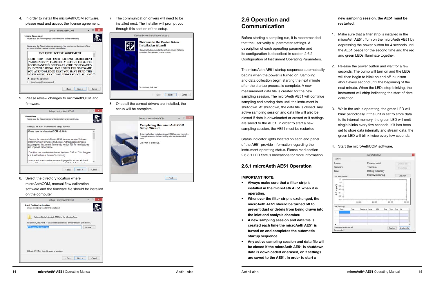4. In order to install the microAethCOM software, please read and accept the license agreement.



5. Please review changes to microAethCOM and





6. Select the directory location where microAethCOM, manual flow calibration software and the firmware file should be installed on the computer.



7. The communication drivers will need to be installed next. The installer will prompt you through this section of the setup.

| <b>Welcome to the Device Driver</b><br><b>Installation Wizard!</b><br>This wizard helps you install the software drivers that some<br>computers devices need in order to work. |
|--------------------------------------------------------------------------------------------------------------------------------------------------------------------------------|
| To continue, click Next.                                                                                                                                                       |

8. Once all the correct drivers are installed, the setup will be complete.



## **2.6 Operation and Communication**

Before starting a sampling run, it is recommended that the user verify all parameter settings. A description of each operating parameter and its configuration is described in section 2.6.2 Configuration of Instrument Operating Parameters.

The microAeth AE51 startup sequence automatically begins when the power is turned on. Sampling and data collection begin starting the next minute after the startup process is complete. A new measurement data file is created for the new sampling session. The microAeth AE51 will continue sampling and storing data until the instrument is shutdown. At shutdown, the data file is closed. Any active sampling session and data file will also be closed if data is downloaded or erased or if settings are saved to the AE51. In order to start a new sampling session, the AE51 must be restarted.

Status indicator lights located on each end panel of the AE51 provide information regarding the instrument operating status. Please read section 2.6.8.1 LED Status Indications for more information.

#### **2.6.1 microAeth AE51 Operation**

**IMPORTANT NOTE:**

- **• Always make sure that a filter strip is installed in the microAeth AE51 when it is operating.**
- **• Whenever the filter strip is exchanged, the microAeth AE51 should be turned off to prevent dust or debris from being drawn into the inlet and analysis chamber.**
- **• A new sampling session and data file is created each time the microAeth AE51 is turned on and completes the automatic startup sequence.**
- **• Any active sampling session and data file will be closed if the microAeth AE51 is shutdown, data is downloaded or erased, or if settings are saved to the AE51. In order to start a**

#### **new sampling session, the AE51 must be restarted.**

- 1. Make sure that a filter strip is installed in the microAethAE51. Turn on the microAeth AE51 by depressing the power button for 4 seconds until the AE51 beeps for the second time and the red and green LEDs illuminate together.
- 
- 2. Release the power button and wait for a few seconds. The pump will turn on and the LEDs will then begin to blink on and off in unison about every second until the beginning of the next minute. When the LEDs stop blinking, the instrument will chirp indicating the start of data collection.
- 3. While the unit is operating, the green LED will blink periodically. If the unit is set to store data to its internal memory, the green LED will emit single blinks every few seconds. If it has been set to store data internally and stream data, the green LED will blink twice every few seconds.



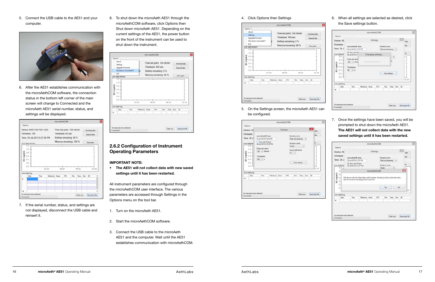5. Connect the USB cable to the AE51 and your computer.



6. After the AE51 establishes communication with the microAethCOM software, the connection status in the bottom left corner of the main screen will change to Connected and the microAeth AE51 serial number, status, and settings will be displayed.

|                                      |                               |              | microAethCOM    |                            |     |       |           |                |                  |  |
|--------------------------------------|-------------------------------|--------------|-----------------|----------------------------|-----|-------|-----------|----------------|------------------|--|
| Options                              |                               |              |                 |                            |     |       |           |                |                  |  |
|                                      | Device: AE51-S4-756-1303      |              |                 | Flow set point: 100 ml/min |     |       |           | Download data  |                  |  |
| Firmware 706                         |                               |              |                 | Timebase 60 sec            |     |       |           | Erase all data |                  |  |
|                                      | Time: 30 Jul 2013 5:07:40 PM  |              |                 | Battery remaining: 88 %    |     |       |           |                |                  |  |
| Live data stream                     |                               |              |                 | Memory remaining: 100 %    |     |       |           | Clear graph    |                  |  |
| 0.6.                                 |                               |              |                 |                            |     |       |           |                |                  |  |
| BC (ng/m3)<br>0.4.<br>0.2.4<br>0.0.3 |                               | <b>DD:00</b> |                 | 00.01                      |     | 00.02 |           |                | 00:03            |  |
|                                      |                               |              |                 |                            |     |       |           |                |                  |  |
| Date                                 | Time                          |              | Reference Sense | ATN                        | Row |       | Temp Emor | 1C             |                  |  |
| Live data log                        |                               |              |                 |                            |     |       |           |                |                  |  |
|                                      | No instrument errors detected |              |                 |                            |     |       |           |                | Save log to file |  |

7. If the serial number, status, and settings are not displayed, disconnect the USB cable and reinsert it.

8. To shut down the microAeth AE51 through the microAethCOM software, click Options then Shut down microAeth AE51. Depending on the current settings of the AE51, the power button on the front of the instrument can be used to shut down the instrument.

|                                                                                       |                      |                 | microAethCOM |                                                                                                    |     |       |              |                                                |       |
|---------------------------------------------------------------------------------------|----------------------|-----------------|--------------|----------------------------------------------------------------------------------------------------|-----|-------|--------------|------------------------------------------------|-------|
| Options<br>About<br>Settimiss<br><b>Upgrade Firministe</b><br>Esk<br>Live data stream | Shut down microAeth* | и               |              | Flow set point: 100 ml/min<br>Timebase: 300 sec<br>Battery remaining: 0%<br>Memory remaining: 98 % |     |       |              | Dewnload data<br>Erane all data<br>Clear graph |       |
| $1.2 -$<br>10.4<br>$0.8 +$<br>$0.6 - 4$                                               |                      |                 |              |                                                                                                    |     |       |              |                                                |       |
| 0.4<br>0.2<br>D.D.                                                                    |                      | 00:00           |              | 00 01                                                                                              |     | 00.02 |              |                                                | 00:03 |
|                                                                                       |                      |                 |              |                                                                                                    |     |       |              |                                                |       |
| BC (mg/m3)<br>Live data log<br>Date                                                   | Time                 | Reference Sense |              | ATN                                                                                                | Rew |       | Temp Eror BC |                                                |       |

#### **2.6.2 Configuration of Instrument Operating Parameters**

#### **IMPORTANT NOTE:**

**• The AE51 will not collect data with new saved settings until it has been restarted.**

All instrument parameters are configured through the microAethCOM user interface. The various parameters are accessed through Settings in the Options menu on the tool bar.

- 1. Turn on the microAeth AE51.
- 2. Start the microAethCOM software.
- 3. Connect the USB cable to the microAeth AE51 and the computer. Wait until the AE51 establishes communication with microAethCOM.

#### 4. Click Options then Settings



5. On the Settings screen, the microAeth AE51 can be configured.

| Options                                                      |                                            |                 | microAethCOM |                                          |               |              |                        |
|--------------------------------------------------------------|--------------------------------------------|-----------------|--------------|------------------------------------------|---------------|--------------|------------------------|
| Device: AE                                                   |                                            |                 | Settings     |                                          |               |              | $\mathbf x$<br>data    |
| Firmware<br>Time: 30 J                                       | microAeth@ time<br>30 Ad 2013 5:15:16 PM   |                 |              | Operating mode:<br>Flash and streaming v |               |              | hts.                   |
| Live data str<br>$12 -$                                      | Sync with PC time<br>CO AJ 2013 5:15:18 PM |                 |              | Shutdown mode:                           |               |              | bh                     |
| $1.0 +$<br>$0.8 +$                                           | Flow set point:<br>too v milmin            |                 |              | Smoke<br>Sound notifications<br>On $w$   | ν             |              | ł<br>4                 |
| BC (ng/m3)<br>$0.5 +$<br>$0.4 - 1$<br>$0.2 - 1$<br>$0.0 - 1$ | Timebase<br>$300 - 9$                      |                 |              |                                          | Save settings |              | <b>ALLAMATION</b><br>d |
| Live data log                                                |                                            |                 |              |                                          |               |              | 00:03                  |
| Date                                                         | Time                                       | Reference Sense | ATN          | Flow                                     |               | Temp Emor BC |                        |
|                                                              |                                            |                 |              |                                          |               |              |                        |
| No instrument errors detected                                |                                            |                 |              |                                          |               |              |                        |

#### 6. When all settings are selected as desired, click the Save settings button.

п

|                |                                                                                                                                            |                                           |                  | microAethCOM                            |                   |               |           |           |    |                  |
|----------------|--------------------------------------------------------------------------------------------------------------------------------------------|-------------------------------------------|------------------|-----------------------------------------|-------------------|---------------|-----------|-----------|----|------------------|
| <b>Options</b> |                                                                                                                                            |                                           |                  |                                         |                   |               |           |           |    |                  |
|                | Device: AE                                                                                                                                 |                                           |                  |                                         | Settings          |               |           |           |    | data             |
|                | Firmware.<br>Time: 30 J                                                                                                                    | microAeth® time<br>30 Jul 2013 5 17:12 PM |                  | Operating mode:<br>Rash and streaming v |                   |               |           |           |    | <b>tata</b>      |
|                | Live data str.<br>$12 -$                                                                                                                   | V Sync with PC<br>(30 Jul 2013 5:1)       |                  |                                         | Changing settings |               | w         |           |    | ph               |
|                | 10.1                                                                                                                                       | Flow set point<br>100 v ml/m              |                  |                                         |                   |               |           |           |    |                  |
|                | $\begin{array}{l} \text{array} \\ \text{array} \\ \text{array} \\ \text{0.} \\ \text{0.} \\ \text{0.} \end{array}$<br>0.6.4<br>02.1<br>001 | Timebase:<br>$60 \times 5$                |                  |                                         |                   | Save settings |           |           |    | 30.03            |
|                |                                                                                                                                            |                                           |                  |                                         |                   |               |           |           |    |                  |
|                | Live data log                                                                                                                              |                                           |                  |                                         |                   |               |           |           |    |                  |
|                | Date                                                                                                                                       | Time                                      | Fleference Serse |                                         | ATN.              | Flow          |           | Temp Entr | BC |                  |
| ٠              |                                                                                                                                            |                                           |                  |                                         |                   |               |           |           |    |                  |
|                |                                                                                                                                            | No instrument errors detected             |                  |                                         |                   |               | Clear Log |           |    | Save log to file |

7. Once the settings have been saved, you will be prompted to shut down the microAeth AE51. **The AE51 will not collect data with the new saved settings until it has been restarted.**

|            |                                 |                                            |                        | microAethCOM |          |                                        |           |    |        |
|------------|---------------------------------|--------------------------------------------|------------------------|--------------|----------|----------------------------------------|-----------|----|--------|
|            | Options                         |                                            |                        |              |          |                                        |           |    |        |
|            | Device: AE                      |                                            |                        |              | Settings |                                        |           |    | data   |
|            | Firmware:<br>Time: 30 J         | microAeth® time<br>30 Jul 2013 5:17:27 PM  |                        |              |          | Operating mode:<br>Flash and streaming |           |    | beta   |
|            | Live data str<br>$12 - $        | Sync with PC time<br>OR At 2013 5 17:27 PM |                        |              |          | Shutdown mode:<br>Single               | $\sim$    |    | ph.    |
|            |                                 |                                            |                        | microAethCOM |          |                                        |           |    |        |
| Iculdul 38 | $\Omega$<br>O.<br>Live data log |                                            |                        |              |          | Ves                                    |           | No | bз     |
|            |                                 | Time                                       | <b>Nelerence Sense</b> |              | ATM      | Flow :                                 | Temp Empr |    | $-$ BC |
|            | Date                            |                                            |                        |              |          |                                        |           |    |        |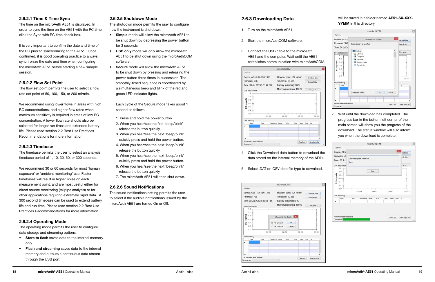#### **2.6.2.1 Time & Time Sync**

The time on the microAeth AE51 is displayed. In order to sync the time on the AE51 with the PC time, click the Sync with PC time check box.

It is very important to confirm the date and time of the PC prior to synchronizing to the AE51. Once confirmed, it is good operating practice to always synchronize the date and time when configuring the microAeth AE51 before starting a new sample session.

#### **2.6.2.2 Flow Set Point**

The flow set point permits the user to select a flow rate set point of 50, 100, 150, or 200 ml/min.

We recommend using lower flows in areas with high BC concentrations, and higher flow rates when maximum sensitivity is required in areas of low BC concentration. A lower flow rate should also be selected for longer run times and extended battery life. Please read section 2.2 Best Use Practices Recommendations for more information.

#### **2.6.2.3 Timebase**

The timebase permits the user to select an analysis timebase period of 1, 10, 30, 60, or 300 seconds.

We recommend 30 or 60 seconds for most 'human exposure' or 'ambient monitoring' use. Faster timebases will result in higher noise on each measurement point, and are most useful either for direct source monitoring (tailpipe analysis) or for other applications requiring extremely rapid data. A 300 second timebase can be used to extend battery life and run time. Please read section 2.2 Best Use Practices Recommendations for more information.

#### **2.6.2.4 Operating Mode**

The operating mode permits the user to configure data storage and streaming options.

- **• Store to flash** saves data to the internal memory only.
- **• Flash and streaming** saves data to the internal memory and outputs a continuous data stream through the USB port.

#### **2.6.2.5 Shutdown Mode**

The shutdown mode permits the user to configure how the instrument is shutdown.

- **• Simple** mode will allow the microAeth AE51 to be shut down by depressing the power button for 3 seconds.
- **• USB only** mode will only allow the microAeth AE51 to be shut down using the microAethCOM software.
- **• Secure** mode will allow the microAeth AE51 to be shut down by pressing and releasing the power button three times in succession. The smoothly-timed sequence is coordinated by a simultaneous beep and blink of the red and green LED indicator lights.

Each cycle of the Secure mode takes about 1 second as follows:

- 1. Press and hold the power button.
- 2. When you hear/see the first 'beep/blink' release the button quickly.
- 3. When you hear/see the next 'beep/blink' quickly press and hold the power button.
- 4. When you hear/see the next 'beep/blink' release the button quickly.
- 5. When you hear/see the next 'beep/blink' quickly press and hold the power button.
- 6. When you hear/see the next 'beep/blink' release the button quickly.
- 7. The microAeth AE51 will then shut down.

#### **2.6.2.6 Sound Notifications**

The sound notifications setting permits the user to select if the audible notifications issued by the microAeth AE51 are turned On or Off.

#### **2.6.3 Downloading Data**

- 1. Turn on the microAeth AE51.
- 2. Start the microAethCOM software.
- 3. Connect the USB cable to the microAeth AE51 and the computer. Wait until the AE51 establishes communication with microAethCOM.



- 4. Click the Download data button to download the data stored on the internal memory of the AE51.
- 5. Select .DAT or .CSV data file type to download.



#### will be saved in a folder named **AE51-SX-XXX-YYMM** in this directory.

|                                                                                                                        | microAethCOM                                                                                                                   |                      |
|------------------------------------------------------------------------------------------------------------------------|--------------------------------------------------------------------------------------------------------------------------------|----------------------|
| Options                                                                                                                |                                                                                                                                |                      |
| Device: AE51-                                                                                                          | $\mathbf{x}$<br><b>Browse For Folder</b>                                                                                       | ownload data         |
| Firmware 706                                                                                                           | Select directory to save files                                                                                                 | Irase all data       |
| Time: 30 Jul 20<br>Live data stream<br>12<br>$1.0 - 1$<br>BC (ng/m3<br>0.8<br>$0.6 -$<br>0.4<br>$0.2 - 1$<br>$D$ , $D$ | Desktop<br>А<br><b>Day Libranes</b><br>Computer<br>53<br>1 <b>Vai Network</b><br><b>EV Control Panel</b><br><b>Recycle Bin</b> | Clear graph<br>00:00 |
| Live data log<br>Date<br>٠                                                                                             | <b>Make New Folder</b><br>$\alpha$<br>Cancel                                                                                   | 1C                   |
| No instrument empt detected                                                                                            |                                                                                                                                |                      |
| Connected                                                                                                              | Clear Log                                                                                                                      | Seve log to file     |

7. Wait until the download has completed. The progress bar in the bottom left corner of the main screen will show you the progress of the download. The status window will also inform you when the download is complete.

|           |                                    |      |                               | microAethCOM |       |      |             |             |                  |
|-----------|------------------------------------|------|-------------------------------|--------------|-------|------|-------------|-------------|------------------|
| Options   |                                    |      |                               |              |       |      |             |             |                  |
|           | Device: AE5                        |      |                               |              |       |      |             | $\mathbf x$ | load data        |
|           | Firmware: 70<br>Time: 30 Jul       |      | Downloading data. Please wait |              |       |      |             |             | s all data       |
|           | Live data strea                    | Done |                               |              |       |      |             |             | ir graph.        |
|           | 1.2.<br>$1.0 +$                    |      |                               | Close        |       |      |             |             |                  |
|           |                                    |      |                               |              |       |      |             |             |                  |
| BC (ngm3) | $0.6 +$<br>0.4<br>$0.2 +$<br>0.0.1 |      | 00.00                         |              | 00:01 |      | 00:02       |             | 00:03            |
|           | Live data log                      |      |                               |              |       |      |             |             |                  |
|           | Date                               | Time | Reference Sense               |              | ATN:  | Flow | Temp Emp BC |             |                  |
| ٠         | No instrument errors detected      |      |                               |              |       |      | Cear Log    |             | Save log to file |

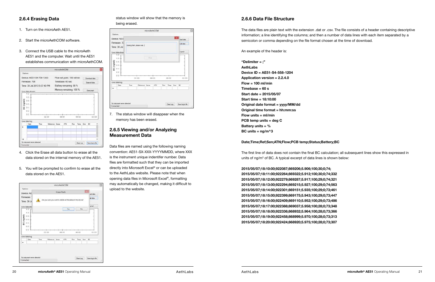#### **2.6.4 Erasing Data**

- 1. Turn on the microAeth AE51.
- 2. Start the microAethCOM software.
- 3. Connect the USB cable to the microAeth AE51 and the computer. Wait until the AE51 establishes communication with microAethCOM.



- 4. Click the Erase all data button to erase all the data stored on the internal memory of the AE51.
- 5. You will be prompted to confirm to erase all the data stored on the AE51.



#### status window will show that the memory is being erased.

|                           |                     |                 |                              |     | $\mathbf{x}$ |               |
|---------------------------|---------------------|-----------------|------------------------------|-----|--------------|---------------|
|                           |                     |                 |                              |     |              |               |
|                           |                     |                 |                              |     |              | load data     |
| Ereang flash, please wait |                     |                 |                              |     |              | a all data    |
|                           |                     |                 |                              |     |              | ir graph      |
|                           |                     |                 |                              |     |              | sistential    |
|                           |                     |                 |                              |     |              | 1<br>00.03    |
|                           |                     |                 |                              |     |              |               |
|                           |                     |                 |                              |     |              |               |
| Time                      | <b>KIN</b><br>00:00 | Reference Sense | <b>Close</b><br>00.01<br>ATN | Row | 00:02        | Temp Emar. DC |

7. The status window will disappear when the memory has been erased.

#### **2.6.5 Viewing and/or Analyzing Measurement Data**

Data files are named using the following naming convention: AE51-SX-XXX-YYYYMMDD, where XXX is the instrument unique indentifer number. Data files are formatted such that they can be imported directly into Microsoft Excel® or can be uploaded to the AethLabs website. Please note that when opening data files in Microsoft Excel®, formatting may automatically be changed, making it difficult to upload to the website.

The first line of data does not contain the final BC calculation; all subsequent lines show this expressed in units of ng/m<sup>3</sup> of BC. A typical excerpt of data lines is shown below:

#### **2.6.6 Data File Structure**

The data files are plain text with the extension .dat or .csv. The file consists of a header containing descriptive information; a line identifying the columns; and then a number of data lines with each item separated by a semicolon or comma depending on the file format chosen at the time of download.

An example of the header is:

**"Delimiter = ;" AethLabs Device ID = AE51-S4-558-1204 Application version = 2.2.4.0 Flow = 100 ml/min Timebase = 60 s Start date = 2015/05/07 Start time = 18:10:00 Original date format = yyyy/MM/dd Original time format = hh:mm:ss Flow units = ml/min PCB temp units = deg C Battery units = % BC units = ng/m^3**

#### **Date;Time;Ref;Sen;ATN;Flow;PCB temp;Status;Battery;BC**

**2015/05/07;18:10:00;922087;869206;5.906;100;30;0;74; 2015/05/07;18:11:00;922264;869322;5.912;100;30;0;74;332 2015/05/07;18:12:00;922279;869287;5.917;100;29;0;74;321 2015/05/07;18:13:00;922294;869215;5.927;100;29;0;74;563 2015/05/07;18:14:00;922301;869151;5.935;100;29;0;73;461 2015/05/07;18:15:00;922399;869175;5.943;100;29;0;73;447 2015/05/07;18:16:00;922409;869110;5.952;100;29;0;73;486 2015/05/07;18:17:00;922388;869037;5.958;100;28;0;73;348 2015/05/07;18:18:00;922336;868932;5.964;100;28;0;73;366 2015/05/07;18:19:00;922458;868999;5.970;100;28;0;73;313 2015/05/07;18:20:00;922424;868920;5.975;100;28;0;73;307**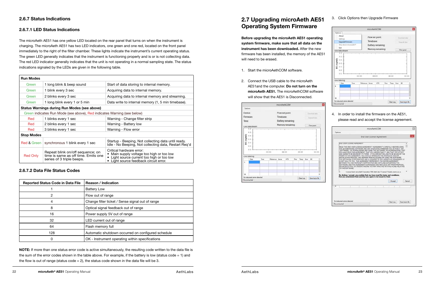#### **2.6.7 Status Indications**

#### **2.6.7.1 LED Status Indications**

The microAeth AE51 has one yellow LED located on the rear panel that turns on when the instrument is charging. The microAeth AE51 has two LED indicators, one green and one red, located on the front panel immediately to the right of the filter chamber. These lights indicate the instrument's current operating status. The green LED generally indicates that the instrument is functioning properly and is or is not collecting data. The red LED indicator generally indicates that the unit is not operating in a normal sampling state. The status indications signaled by the LEDs are given in the following table.

**NOTE:** If more than one status error code is active simultaneously, the resulting code written to the data file is the sum of the error codes shown in the table above. For example, if the battery is low (status code = 1) and the flow is out of range (status  $code = 2$ ), the status code shown in the data file will be 3.

| <b>Run Modes</b>       |                                                                                                      |                                                                                                                                                           |
|------------------------|------------------------------------------------------------------------------------------------------|-----------------------------------------------------------------------------------------------------------------------------------------------------------|
| Green                  | 1 long blink & beep sound                                                                            | Start of data storing to internal memory.                                                                                                                 |
| Green                  | 1 blink every 3 sec                                                                                  | Acquiring data to internal memory.                                                                                                                        |
| Green                  | 2 blinks every 3 sec                                                                                 | Acquiring data to internal memory and streaming.                                                                                                          |
| Green                  | 1 long blink every 1 or 5 min                                                                        | Data write to internal memory (1, 5 min timebase).                                                                                                        |
|                        | <b>Status Warnings during Run Modes (see above)</b>                                                  |                                                                                                                                                           |
|                        | Green indicates Run Mode (see above), Red indicates Warning (see below)                              |                                                                                                                                                           |
| Red                    | 1 blinks every 1 sec                                                                                 | Warning - Change filter strip                                                                                                                             |
| Red                    | 2 blinks every 1 sec                                                                                 | Warning - Battery low                                                                                                                                     |
| Red                    | 3 blinks every 1 sec                                                                                 | Warning - Flow error                                                                                                                                      |
| <b>Stop Modes</b>      |                                                                                                      |                                                                                                                                                           |
| <b>Red &amp; Green</b> | synchronous 1 blink every 1 sec                                                                      | Startup - Beeping, Not collecting data until ready.<br>Idle - No Beeping, Not collecting data, Restart Reg'd                                              |
| <b>Red Only</b>        | Repeat blink on/off sequence; on<br>time is same as off time. Emits one<br>series of 3 triple beeps. | Critical hardware error:<br>Main supply voltage too high or too low<br>Light source current too high or too low<br>• Light source feedback circuit error. |

#### **2.6.7.2 Data File Status Codes**

| <b>Reported Status Code in Data File</b> | <b>Reason / Indication</b>                         |
|------------------------------------------|----------------------------------------------------|
|                                          | <b>Battery Low</b>                                 |
| 2                                        | Flow out of range                                  |
| 4                                        | Change filter ticket / Sense signal out of range   |
| 8                                        | Optical signal feedback out of range               |
| 16                                       | Power supply 5V out of range                       |
| 32                                       | LED current out of range                           |
| 64                                       | Flash memory full                                  |
| 128                                      | Automatic shutdown occurred on configured schedule |
| Ω                                        | OK - Instrument operating within specifications    |

**Before upgrading the microAeth AE51 operating system firmware, make sure that all data on the instrument has been downloaded.** After the new firmware has been installed, the memory of the AE51 will need to be erased.

- 1. Start the microAethCOM software.
- 2. Connect the USB cable to the microAeth AE51and the computer. **Do not turn on the microAeth AE51.** The microAethCOM software will show that the AE51 is Disconnected.



#### 3. Click Options then Upgrade Firmware





|            |                               |      |                  |           | microAethCOM       |      |           |              |                  |       |
|------------|-------------------------------|------|------------------|-----------|--------------------|------|-----------|--------------|------------------|-------|
| Options    |                               |      |                  |           |                    |      |           |              |                  |       |
|            | About<br>Settings             |      |                  |           | Flow set point.    |      |           |              | Download data    |       |
|            | <b>Upgrade Firmware</b>       |      |                  | Timebase: |                    |      |           |              | Trees of data    |       |
|            | Shut down micro-lath *        |      |                  |           | Battery remaining: |      |           |              |                  |       |
|            | Esit                          |      |                  |           | Memory remaining   |      |           |              |                  |       |
|            | Live data stream              |      |                  |           |                    |      |           |              | Clear graph      |       |
| BC (ng/m3) | 0.4<br>0.2                    |      |                  |           |                    |      |           |              |                  |       |
|            | D.D                           |      | DD:00            |           | 00.01              |      | 00.02     |              |                  | 00:00 |
|            | Live data log                 |      |                  |           |                    |      |           |              |                  |       |
|            | Date                          | Time | Reference, Sense |           | ATN                | Flow |           | Temp Emor BC |                  |       |
|            |                               |      |                  |           |                    |      |           |              |                  |       |
|            |                               |      |                  |           |                    |      |           |              |                  |       |
|            |                               |      |                  |           |                    |      |           |              |                  |       |
|            |                               |      |                  |           |                    |      |           |              |                  |       |
| ٠          | No instrument errors detected |      |                  |           |                    |      | Clear Log |              | Save log to file |       |

4. In order to install the firmware on the AE51, please read and accept the license agreement.

|                                               |                                                                  |  | microAethCOM               |                                                                                                                                                                                                                                                                                                                                                                                                                                                                                                                                                                                                                                                                                                                                                                                                                                                                                                                                                                                                                     |                  |  |
|-----------------------------------------------|------------------------------------------------------------------|--|----------------------------|---------------------------------------------------------------------------------------------------------------------------------------------------------------------------------------------------------------------------------------------------------------------------------------------------------------------------------------------------------------------------------------------------------------------------------------------------------------------------------------------------------------------------------------------------------------------------------------------------------------------------------------------------------------------------------------------------------------------------------------------------------------------------------------------------------------------------------------------------------------------------------------------------------------------------------------------------------------------------------------------------------------------|------------------|--|
| Options                                       |                                                                  |  |                            |                                                                                                                                                                                                                                                                                                                                                                                                                                                                                                                                                                                                                                                                                                                                                                                                                                                                                                                                                                                                                     |                  |  |
|                                               |                                                                  |  | End User License Agreement |                                                                                                                                                                                                                                                                                                                                                                                                                                                                                                                                                                                                                                                                                                                                                                                                                                                                                                                                                                                                                     |                  |  |
|                                               | END USER LICENSE AGREEMENT                                       |  |                            |                                                                                                                                                                                                                                                                                                                                                                                                                                                                                                                                                                                                                                                                                                                                                                                                                                                                                                                                                                                                                     |                  |  |
| l٢                                            | TO THE SOFTWARE                                                  |  |                            | READ THIS END USER LICENSE AGREEMENT ("AGREEMENT") CAREFULLY BEFORE USING<br>THE ACCOMPANYING SOFTWARE AND ANY ASSOCIATED FIRMWARE COLLECTIVELY. THE<br>"SOFTWARE"). BY DOWNLOADING AND USING THE SOFTWARE, YOU ACKNOWLEDGE THAT<br>YOU HAVE READ THIS AGREEMENT. THAT YOU UNDERSTAND IT. AND THAT YOU ACCEPT<br>AND AGREE TO BE BOUND BY ITS TERMS. IF YOU ARE NOT WILLING TO BE BOUND BY THE<br>TERMS OF THIS AGREEMENT, YOU SHOULD TERMINATE THE DOWNLOAD AND/OR<br>INSTALLATION PROCESS. AND REFRAIN FROM ACCESSING OR USING THE SOFTWARE<br>THE SOFTWARE IS COPYRIGHTED AND IS LICENSED TO YOU UNDER THIS AGREEMENT: IT<br>IS NOT SOLD TO YOU. THIS AGREEMENT REPRESENTS THE ENTIRE AGREEMENT<br>BETWEEN YOU AND MICROAETH CORPORATION DBA AETHLABS CONCERNING THE<br>SOFTWARE, AND THIS AGREEMENT SUPERSEDES AND REPLACES ANY PRIOR PROPOSAL.<br>REPRESENTATION, OR UNDERSTANDING YOU MAY HAVE HAD WITH AETHLABS RELATING<br>License Great, micro-Aeth Companion OBA Aethi and Clicenson Liveren construction |                  |  |
|                                               | that you understand them and that you agree to be bound by them. |  |                            | By clicking I accept, you confirm that you have mad the terms and conditions.                                                                                                                                                                                                                                                                                                                                                                                                                                                                                                                                                                                                                                                                                                                                                                                                                                                                                                                                       |                  |  |
|                                               |                                                                  |  |                            | 1 Accent                                                                                                                                                                                                                                                                                                                                                                                                                                                                                                                                                                                                                                                                                                                                                                                                                                                                                                                                                                                                            | Cancel           |  |
|                                               |                                                                  |  |                            |                                                                                                                                                                                                                                                                                                                                                                                                                                                                                                                                                                                                                                                                                                                                                                                                                                                                                                                                                                                                                     |                  |  |
| No instrument errors detected<br>Disconnected |                                                                  |  |                            | Clear Log                                                                                                                                                                                                                                                                                                                                                                                                                                                                                                                                                                                                                                                                                                                                                                                                                                                                                                                                                                                                           | Save log to file |  |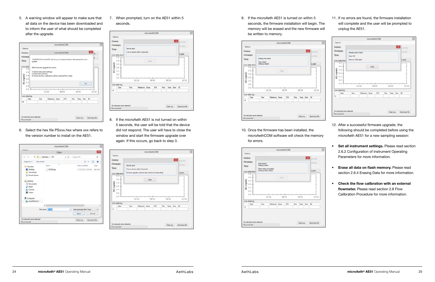5. A warning window will appear to make sure that all data on the device has been downloaded and to inform the user of what should be completed after the upgrade.



6. Select the hex file PSxxx.hex where xxx refers to the version number to install on the AE51.

|                                                                                                                                                                                 |                                                       | microAethCOM |                                     | o                        |
|---------------------------------------------------------------------------------------------------------------------------------------------------------------------------------|-------------------------------------------------------|--------------|-------------------------------------|--------------------------|
| <b>Cedinac</b>                                                                                                                                                                  | Open                                                  |              |                                     | ×                        |
| $(4-1)(-4)$                                                                                                                                                                     | Il = AethLabs + FW                                    | v G          | Search FW                           | ø                        |
| New folder<br>Organize =                                                                                                                                                        |                                                       |              |                                     | o<br>$\mathbb{R}$ .<br>ш |
| <b>Sir Favorites</b><br><b>Desktop</b><br>Downloads<br>E Recent places<br>a Libraries<br>· Documents<br>Music<br><b>Pictures</b><br><b>Wideos</b><br>Computer<br>Local Disk (C) | Name<br>P5706.hex                                     |              | Date modified<br>11/12/2013 2:50 PM | Type:<br><b>HEX File</b> |
|                                                                                                                                                                                 | $\left\langle \cdot \right\rangle$<br>File name: 2532 | v            | Intel extended file (".hex)         | s<br>×                   |
|                                                                                                                                                                                 |                                                       |              | Open                                | Cancel                   |
| No instrument errors detected                                                                                                                                                   |                                                       |              | Clear Log                           | Save log to file         |
|                                                                                                                                                                                 |                                                       |              |                                     |                          |

7. When prompted, turn on the AE51 within 5 seconds.

| Options                                                    |                       |                                 |            |       |     |           |              |                   |
|------------------------------------------------------------|-----------------------|---------------------------------|------------|-------|-----|-----------|--------------|-------------------|
| Device:                                                    |                       |                                 |            |       |     |           | $\mathbf{x}$ | <b>Stail data</b> |
| Firmware:<br>Time:                                         | <b>Hex file read?</b> | Tum on device within 5 seconds! |            |       |     |           |              | <b>Kid day</b>    |
| Live data street                                           |                       |                                 |            |       |     |           |              | or graph.         |
| $12 -$<br>$10 +$<br>BC (ng/m3)<br>0.8<br>0.6<br>0.4<br>02. |                       |                                 | <b>Cow</b> |       |     |           |              |                   |
| D.D                                                        |                       | 00.00                           |            | 00.01 |     | 00.02     |              | 00:03             |
|                                                            |                       |                                 |            |       |     |           |              |                   |
| Live data log                                              |                       |                                 |            | ATN   | Row | Temp Empr |              | $-80$             |
| Date<br>٠                                                  | Time                  | Reference Sense                 |            |       |     |           |              |                   |

8. If the microAeth AE51 is not turned on within 5 seconds, the user will be told that the device did not respond. The user will have to close the window and start the firmware upgrade over again. If this occurs, go back to step 3.

| Options<br>Device:<br>Firmware: |                                                          |                 |       |       |     |              |           |                   |  |
|---------------------------------|----------------------------------------------------------|-----------------|-------|-------|-----|--------------|-----------|-------------------|--|
|                                 |                                                          |                 |       |       |     |              |           |                   |  |
|                                 |                                                          |                 |       |       |     |              |           | <b>CO</b> Lustora |  |
|                                 | Hex file read?                                           |                 |       |       |     | in all shelp |           |                   |  |
| Time:                           | Turn on device within 5 seconds!                         |                 |       |       |     |              |           | or graph.         |  |
| Live data street                | Firmware upgrade could not start, device not responding? |                 |       |       |     |              |           |                   |  |
| 12<br>٠                         |                                                          |                 |       |       |     |              |           |                   |  |
| $10 +$                          |                                                          |                 | Close |       |     |              |           |                   |  |
| 0.8<br>0.5                      |                                                          |                 |       |       |     |              |           |                   |  |
| BC (ng/m3)<br>0.4               |                                                          |                 |       |       |     |              |           |                   |  |
| 02                              |                                                          |                 |       |       |     |              |           |                   |  |
| D.D                             |                                                          | 00.00           |       | 00.01 |     | 00:02        |           | 00:03             |  |
| Live data log                   |                                                          |                 |       |       |     |              |           |                   |  |
| Date                            | Time                                                     | Reference Sense |       | ATN   | Row |              | Temp Empr | BC                |  |
|                                 |                                                          |                 |       |       |     |              |           |                   |  |
|                                 |                                                          |                 |       |       |     |              |           |                   |  |

9. If the microAeth AE51 is turned on within 5 seconds, the firmware installation will begin. The memory will be erased and the new firmware will be written to memory.



10. Once the firmware has been installed, the microAethCOM software will check the memory for errors.



11. If no errors are found, the firmware installation will complete and the user will be prompted to unplug the AE51.

| Device:                                  |      |                                                                   |  |       |     |       | $\vert x \vert$ | <b>Real data</b>          |
|------------------------------------------|------|-------------------------------------------------------------------|--|-------|-----|-------|-----------------|---------------------------|
| Firmware.<br>Time:                       |      | Reading data in flash!<br>Rash OK!<br>Flemove USB cable!<br>Close |  |       |     |       |                 | in all data:<br>or graph. |
| Live data street<br>12<br>$10 +$<br>0.84 |      |                                                                   |  |       |     |       |                 |                           |
| $0.6 - 1$                                |      |                                                                   |  |       |     |       |                 |                           |
| BC (ng/m3)<br>0.4<br>02.1<br>D.D         |      | 00.00                                                             |  | 00.01 |     | 00:02 |                 | 00.03                     |
| Live data log<br>Date                    | Time | Reference Sense                                                   |  | ATN   | Row |       | Terro Error     | $-80$                     |

- 
- 12. After a successful firmware upgrade, the following should be completed before using the microAeth AE51 for a new sampling session:



- **• Set all instrument settings.** Please read section 2.6.2 Configuration of Instrument Operating Parameters for more information.
- **• Erase all data on flash memory.** Please read section 2.6.4 Erasing Data for more information.
- **• Check the flow calibration with an external flowmeter.** Please read section 2.8 Flow Calibration Procedure for more information.